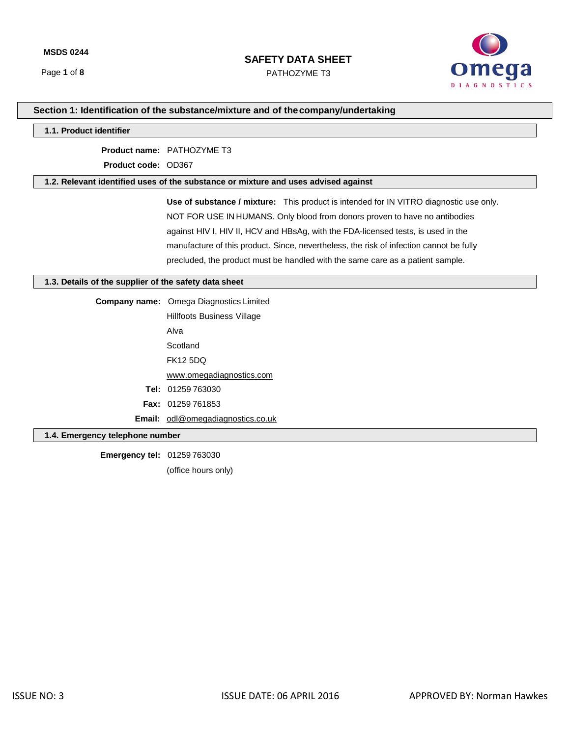PATHOZYME T3



# **Section 1: Identification of the substance/mixture and of thecompany/undertaking**

### **1.1. Product identifier**

**Product name:** PATHOZYME T3

**Product code:** OD367

### **1.2. Relevant identified uses of the substance or mixture and uses advised against**

**Use of substance / mixture:** This product is intended for IN VITRO diagnostic use only. NOT FOR USE IN HUMANS. Only blood from donors proven to have no antibodies against HIV I, HIV II, HCV and HBsAg, with the FDA-licensed tests, is used in the manufacture of this product. Since, nevertheless, the risk of infection cannot be fully precluded, the product must be handled with the same care as a patient sample.

### **1.3. Details of the supplier of the safety data sheet**

| <b>Company name:</b> Omega Diagnostics Limited |  |  |  |  |
|------------------------------------------------|--|--|--|--|
| <b>Hillfoots Business Village</b>              |  |  |  |  |
| Alva                                           |  |  |  |  |
| Scotland                                       |  |  |  |  |
| <b>FK12 5DQ</b>                                |  |  |  |  |
| www.omegadiagnostics.com                       |  |  |  |  |
| <b>Tel: 01259 763030</b>                       |  |  |  |  |
| <b>Fax: <math>01259761853</math></b>           |  |  |  |  |
| <b>Email:</b> odl@omegadiagnostics.co.uk       |  |  |  |  |
|                                                |  |  |  |  |

### **1.4. Emergency telephone number**

**Emergency tel:** 01259 763030 (office hours only)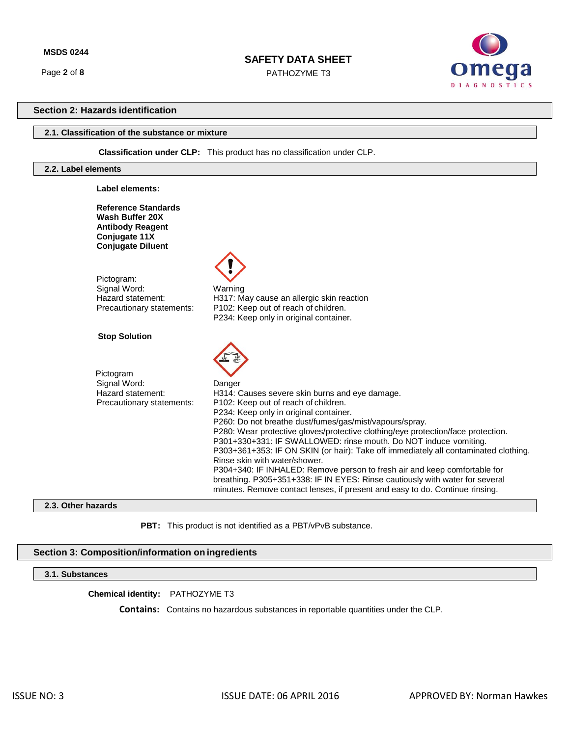Page **2** of **8**

## **SAFETY DATA SHEET**

PATHOZYME T3



## **Section 2: Hazards identification**

### **2.1. Classification of the substance or mixture**

 **Classification under CLP:** This product has no classification under CLP.

### **2.2. Label elements**

| Label elements:                                                                                                       |                                                                                                                                                                                                                                                                                                                                                                                                                                                                                                                                                                                                                                                                                                                                    |
|-----------------------------------------------------------------------------------------------------------------------|------------------------------------------------------------------------------------------------------------------------------------------------------------------------------------------------------------------------------------------------------------------------------------------------------------------------------------------------------------------------------------------------------------------------------------------------------------------------------------------------------------------------------------------------------------------------------------------------------------------------------------------------------------------------------------------------------------------------------------|
| <b>Reference Standards</b><br>Wash Buffer 20X<br><b>Antibody Reagent</b><br>Conjugate 11X<br><b>Conjugate Diluent</b> |                                                                                                                                                                                                                                                                                                                                                                                                                                                                                                                                                                                                                                                                                                                                    |
| Pictogram:<br>Signal Word:<br>Hazard statement:<br>Precautionary statements:                                          | Warning<br>H317: May cause an allergic skin reaction<br>P102: Keep out of reach of children.<br>P234: Keep only in original container.                                                                                                                                                                                                                                                                                                                                                                                                                                                                                                                                                                                             |
| <b>Stop Solution</b>                                                                                                  |                                                                                                                                                                                                                                                                                                                                                                                                                                                                                                                                                                                                                                                                                                                                    |
| Pictogram<br>Signal Word:<br>Hazard statement:<br>Precautionary statements:                                           | Danger<br>H314: Causes severe skin burns and eye damage.<br>P102: Keep out of reach of children.<br>P234: Keep only in original container.<br>P260: Do not breathe dust/fumes/gas/mist/vapours/spray.<br>P280: Wear protective gloves/protective clothing/eye protection/face protection.<br>P301+330+331: IF SWALLOWED: rinse mouth. Do NOT induce vomiting.<br>P303+361+353: IF ON SKIN (or hair): Take off immediately all contaminated clothing.<br>Rinse skin with water/shower.<br>P304+340: IF INHALED: Remove person to fresh air and keep comfortable for<br>breathing. P305+351+338: IF IN EYES: Rinse cautiously with water for several<br>minutes. Remove contact lenses, if present and easy to do. Continue rinsing. |

## **2.3. Other hazards**

**PBT:** This product is not identified as a PBT/vPvB substance.

## **Section 3: Composition/information on ingredients**

## **3.1. Substances**

**Chemical identity:** PATHOZYME T3

 **Contains:** Contains no hazardous substances in reportable quantities under the CLP.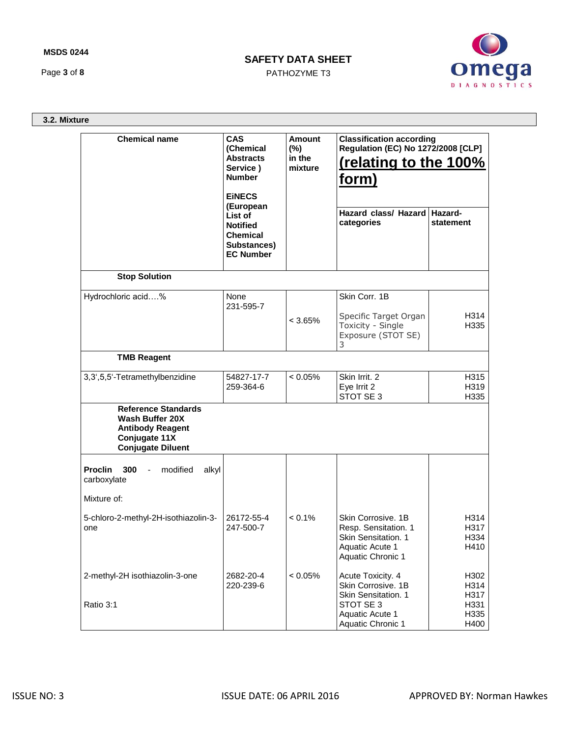## **MSDS 0244**

Page **3** of **8**

# **SAFETY DATA SHEET**

PATHOZYME T3



**3.2. Mixture**

| <b>Chemical name</b>                                                                                                         | <b>CAS</b><br>(Chemical<br><b>Abstracts</b><br>Service)<br><b>Number</b><br><b>EINECS</b>     | <b>Amount</b><br>$(\%)$<br>in the<br>mixture | <b>Classification according</b><br><b>Regulation (EC) No 1272/2008 [CLP]</b><br>(relating to the 100%<br>form) |                              |  |
|------------------------------------------------------------------------------------------------------------------------------|-----------------------------------------------------------------------------------------------|----------------------------------------------|----------------------------------------------------------------------------------------------------------------|------------------------------|--|
|                                                                                                                              | (European<br>List of<br><b>Notified</b><br><b>Chemical</b><br>Substances)<br><b>EC Number</b> |                                              | Hazard class/ Hazard   Hazard-<br>categories                                                                   | statement                    |  |
| <b>Stop Solution</b>                                                                                                         |                                                                                               |                                              |                                                                                                                |                              |  |
| Hydrochloric acid%                                                                                                           | None<br>231-595-7                                                                             |                                              | Skin Corr. 1B                                                                                                  |                              |  |
|                                                                                                                              |                                                                                               | $< 3.65\%$                                   | Specific Target Organ<br>Toxicity - Single<br>Exposure (STOT SE)<br>3                                          | H314<br>H335                 |  |
| <b>TMB Reagent</b>                                                                                                           |                                                                                               |                                              |                                                                                                                |                              |  |
| 3,3',5,5'-Tetramethylbenzidine                                                                                               | 54827-17-7<br>259-364-6                                                                       | $< 0.05\%$                                   | Skin Irrit. 2<br>Eye Irrit 2<br>STOT SE 3                                                                      | H315<br>H319<br>H335         |  |
| <b>Reference Standards</b><br><b>Wash Buffer 20X</b><br><b>Antibody Reagent</b><br>Conjugate 11X<br><b>Conjugate Diluent</b> |                                                                                               |                                              |                                                                                                                |                              |  |
| <b>Proclin</b><br>300<br>modified<br>alkyl<br>$\blacksquare$<br>carboxylate                                                  |                                                                                               |                                              |                                                                                                                |                              |  |
| Mixture of:                                                                                                                  |                                                                                               |                                              |                                                                                                                |                              |  |
| 5-chloro-2-methyl-2H-isothiazolin-3-<br>one                                                                                  | 26172-55-4<br>247-500-7                                                                       | $< 0.1\%$                                    | Skin Corrosive. 1B<br>Resp. Sensitation. 1<br>Skin Sensitation, 1<br>Aquatic Acute 1<br>Aquatic Chronic 1      | H314<br>H317<br>H334<br>H410 |  |
| 2-methyl-2H isothiazolin-3-one                                                                                               | 2682-20-4<br>220-239-6                                                                        | < 0.05%                                      | Acute Toxicity. 4<br>Skin Corrosive. 1B<br>Skin Sensitation, 1                                                 | H302<br>H314<br>H317         |  |
| Ratio 3:1                                                                                                                    |                                                                                               |                                              | STOT SE 3<br>Aquatic Acute 1<br>Aquatic Chronic 1                                                              | H331<br>H335<br>H400         |  |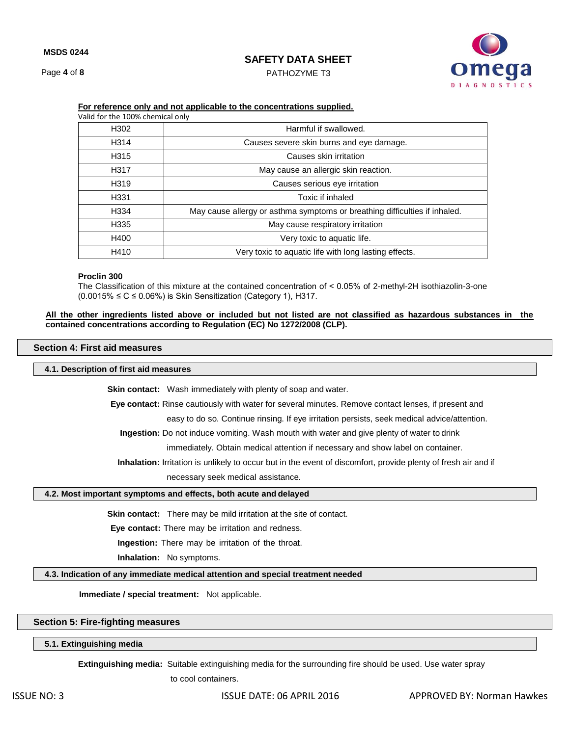Page **4** of **8**

## **SAFETY DATA SHEET**

PATHOZYME T3



| Valid for the 100% chemical only |                                                                            |  |  |  |  |
|----------------------------------|----------------------------------------------------------------------------|--|--|--|--|
| H <sub>302</sub>                 | Harmful if swallowed.                                                      |  |  |  |  |
| H314                             | Causes severe skin burns and eye damage.                                   |  |  |  |  |
| H315                             | Causes skin irritation                                                     |  |  |  |  |
| H317                             | May cause an allergic skin reaction.                                       |  |  |  |  |
| H <sub>319</sub>                 | Causes serious eye irritation                                              |  |  |  |  |
| H331                             | Toxic if inhaled                                                           |  |  |  |  |
| H334                             | May cause allergy or asthma symptoms or breathing difficulties if inhaled. |  |  |  |  |
| H335                             | May cause respiratory irritation                                           |  |  |  |  |
| H400                             | Very toxic to aquatic life.                                                |  |  |  |  |
| H410                             | Very toxic to aquatic life with long lasting effects.                      |  |  |  |  |

### **For reference only and not applicable to the concentrations supplied.**

#### **Proclin 300**

The Classification of this mixture at the contained concentration of ˂ 0.05% of 2-methyl-2H isothiazolin-3-one  $(0.0015\% \leq C \leq 0.06\%)$  is Skin Sensitization (Category 1), H317.

### **All the other ingredients listed above or included but not listed are not classified as hazardous substances in the contained concentrations according to Regulation (EC) No 1272/2008 (CLP).**

### **Section 4: First aid measures**

### **4.1. Description of first aid measures**

**Skin contact:** Wash immediately with plenty of soap and water.

**Eye contact:** Rinse cautiously with water for several minutes. Remove contact lenses, if present and

easy to do so. Continue rinsing. If eye irritation persists, seek medical advice/attention.

**Ingestion:** Do not induce vomiting. Wash mouth with water and give plenty of water to drink

immediately. Obtain medical attention if necessary and show label on container.

**Inhalation:** Irritation is unlikely to occur but in the event of discomfort, provide plenty of fresh air and if

necessary seek medical assistance.

### **4.2. Most important symptoms and effects, both acute and delayed**

**Skin contact:** There may be mild irritation at the site of contact.

**Eye contact:** There may be irritation and redness.

**Ingestion:** There may be irritation of the throat.

**Inhalation:** No symptoms.

**4.3. Indication of any immediate medical attention and special treatment needed**

**Immediate / special treatment:** Not applicable.

## **Section 5: Fire-fighting measures**

**5.1. Extinguishing media**

**Extinguishing media:** Suitable extinguishing media for the surrounding fire should be used. Use water spray

to cool containers.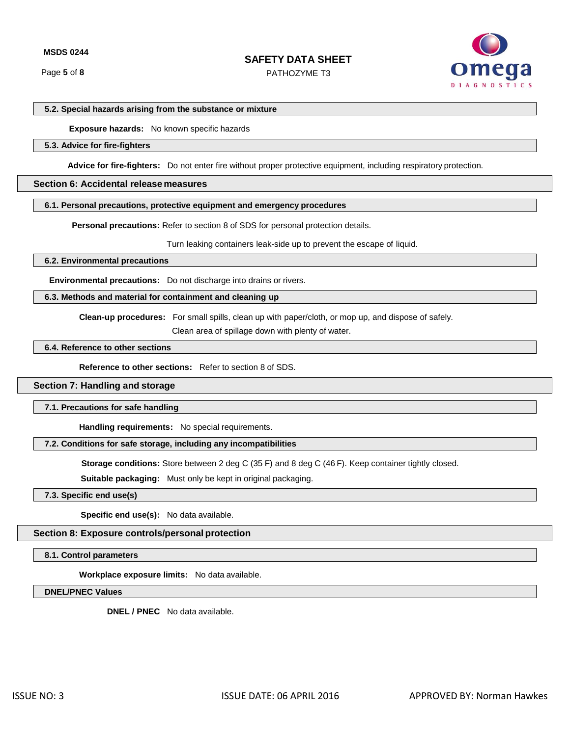PATHOZYME T3



### **5.2. Special hazards arising from the substance or mixture**

 **Exposure hazards:** No known specific hazards

### **5.3. Advice for fire-fighters**

**Advice for fire-fighters:** Do not enter fire without proper protective equipment, including respiratory protection.

### **Section 6: Accidental release measures**

### **6.1. Personal precautions, protective equipment and emergency procedures**

**Personal precautions:** Refer to section 8 of SDS for personal protection details.

Turn leaking containers leak-side up to prevent the escape of liquid.

**6.2. Environmental precautions**

**Environmental precautions:** Do not discharge into drains or rivers.

### **6.3. Methods and material for containment and cleaning up**

**Clean-up procedures:** For small spills, clean up with paper/cloth, or mop up, and dispose of safely.

Clean area of spillage down with plenty of water.

### **6.4. Reference to other sections**

**Reference to other sections:** Refer to section 8 of SDS.

#### **Section 7: Handling and storage**

#### **7.1. Precautions for safe handling**

**Handling requirements:** No special requirements.

## **7.2. Conditions for safe storage, including any incompatibilities**

**Storage conditions:** Store between 2 deg C (35 F) and 8 deg C (46 F). Keep container tightly closed.

**Suitable packaging:** Must only be kept in original packaging.

## **7.3. Specific end use(s)**

**Specific end use(s):** No data available.

### **Section 8: Exposure controls/personal protection**

**8.1. Control parameters**

**Workplace exposure limits:** No data available.

**DNEL/PNEC Values**

**DNEL / PNEC** No data available.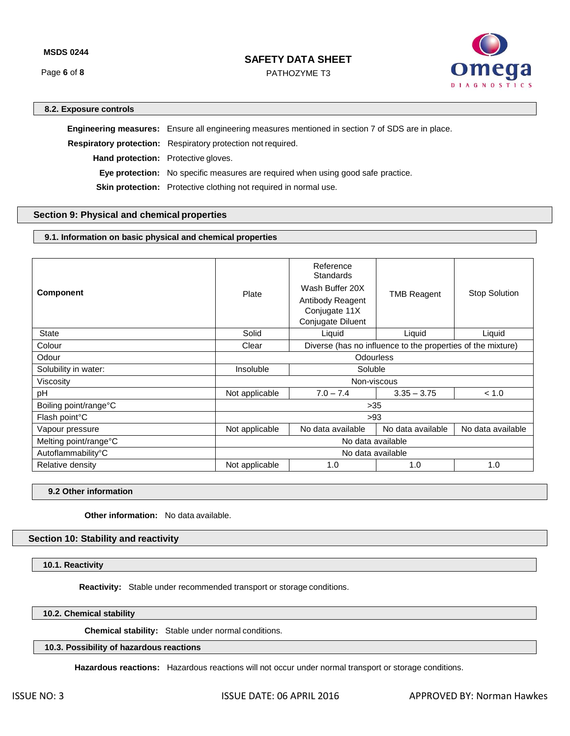Page **6** of **8**

## **SAFETY DATA SHEET**

PATHOZYME T3



## **8.2. Exposure controls**

**Engineering measures:** Ensure all engineering measures mentioned in section 7 of SDS are in place. **Respiratory protection:** Respiratory protection not required. **Hand protection:** Protective gloves. **Eye protection:** No specific measures are required when using good safe practice. **Skin protection:** Protective clothing not required in normal use.

## **Section 9: Physical and chemical properties**

## **9.1. Information on basic physical and chemical properties**

| <b>Component</b>           | Plate                                                                | Reference<br><b>Standards</b><br>Wash Buffer 20X<br>Antibody Reagent<br>Conjugate 11X<br>Conjugate Diluent | <b>TMB Reagent</b> | <b>Stop Solution</b> |  |  |
|----------------------------|----------------------------------------------------------------------|------------------------------------------------------------------------------------------------------------|--------------------|----------------------|--|--|
| <b>State</b>               | Solid                                                                | Liquid                                                                                                     | Liquid             | Liquid               |  |  |
| Colour                     | Diverse (has no influence to the properties of the mixture)<br>Clear |                                                                                                            |                    |                      |  |  |
| Odour                      | <b>Odourless</b>                                                     |                                                                                                            |                    |                      |  |  |
| Solubility in water:       | Soluble<br>Insoluble                                                 |                                                                                                            |                    |                      |  |  |
| Viscosity                  | Non-viscous                                                          |                                                                                                            |                    |                      |  |  |
| pH                         | Not applicable                                                       | $7.0 - 7.4$<br>$3.35 - 3.75$                                                                               |                    | < 1.0                |  |  |
| Boiling point/range°C      | $>35$                                                                |                                                                                                            |                    |                      |  |  |
| Flash point <sup>°</sup> C | >93                                                                  |                                                                                                            |                    |                      |  |  |
| Vapour pressure            | Not applicable                                                       | No data available                                                                                          | No data available  | No data available    |  |  |
| Melting point/range°C      | No data available                                                    |                                                                                                            |                    |                      |  |  |
| Autoflammability°C         | No data available                                                    |                                                                                                            |                    |                      |  |  |
| Relative density           | Not applicable                                                       | 1.0                                                                                                        | 1.0                | 1.0                  |  |  |

**9.2 Other information**

**Other information:** No data available.

## **Section 10: Stability and reactivity**

**10.1. Reactivity**

**Reactivity:** Stable under recommended transport or storage conditions.

**10.2. Chemical stability**

 **Chemical stability:** Stable under normal conditions.

### **10.3. Possibility of hazardous reactions**

**Hazardous reactions:** Hazardous reactions will not occur under normal transport or storage conditions.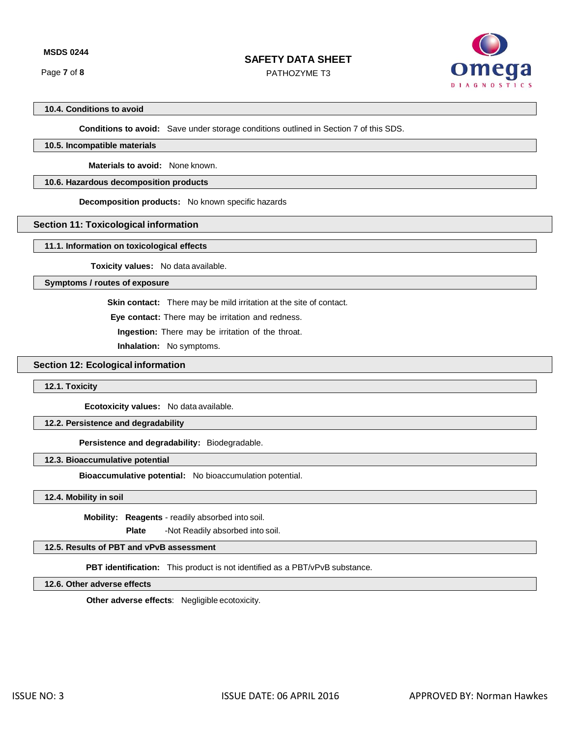Page **7** of **8**

# **SAFETY DATA SHEET**

PATHOZYME T3



## **10.4. Conditions to avoid**

**Conditions to avoid:** Save under storage conditions outlined in Section 7 of this SDS.

## **10.5. Incompatible materials**

 **Materials to avoid:** None known.

## **10.6. Hazardous decomposition products**

**Decomposition products:** No known specific hazards

## **Section 11: Toxicological information**

### **11.1. Information on toxicological effects**

 **Toxicity values:** No data available.

**Symptoms / routes of exposure**

**Skin contact:** There may be mild irritation at the site of contact.

**Eye contact:** There may be irritation and redness.

**Ingestion:** There may be irritation of the throat.

**Inhalation:** No symptoms.

## **Section 12: Ecological information**

**12.1. Toxicity**

**Ecotoxicity values:** No data available.

### **12.2. Persistence and degradability**

**Persistence and degradability:** Biodegradable.

## **12.3. Bioaccumulative potential**

**Bioaccumulative potential:** No bioaccumulation potential.

#### **12.4. Mobility in soil**

 **Mobility: Reagents** - readily absorbed into soil.

**Plate** -Not Readily absorbed into soil.

## **12.5. Results of PBT and vPvB assessment**

**PBT identification:** This product is not identified as a PBT/vPvB substance.

## **12.6. Other adverse effects**

**Other adverse effects**: Negligible ecotoxicity.